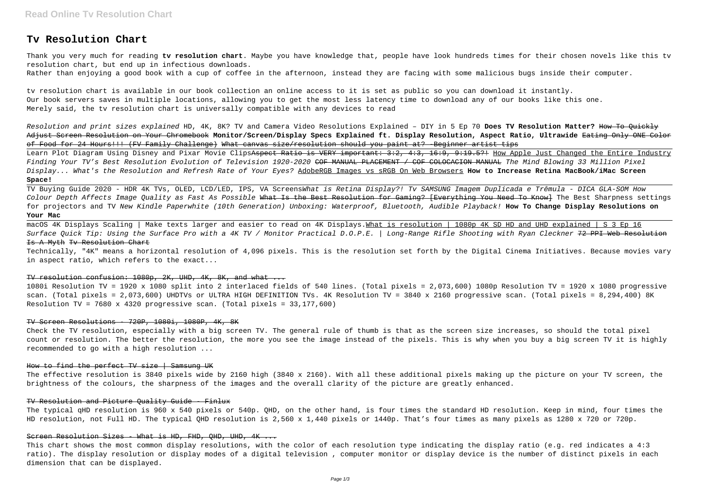# **Tv Resolution Chart**

Thank you very much for reading **tv resolution chart**. Maybe you have knowledge that, people have look hundreds times for their chosen novels like this tv resolution chart, but end up in infectious downloads.

Rather than enjoying a good book with a cup of coffee in the afternoon, instead they are facing with some malicious bugs inside their computer.

tv resolution chart is available in our book collection an online access to it is set as public so you can download it instantly. Our book servers saves in multiple locations, allowing you to get the most less latency time to download any of our books like this one. Merely said, the tv resolution chart is universally compatible with any devices to read

Resolution and print sizes explained HD, 4K, 8K? TV and Camera Video Resolutions Explained – DIY in 5 Ep 70 **Does TV Resolution Matter?** How To Quickly Adjust Screen Resolution on Your Chromebook **Monitor/Screen/Display Specs Explained ft. Display Resolution, Aspect Ratio, Ultrawide** Eating Only ONE Color of Food for 24 Hours!!! (FV Family Challenge) What canvas size/resolution should you paint at? -Beginner artist tips

macOS 4K Displays Scaling | Make texts larger and easier to read on 4K Displays. What is resolution | 1080p 4K SD HD and UHD explained | S 3 Ep 16 Surface Quick Tip: Using the Surface Pro with a 4K TV / Monitor Practical D.O.P.E. | Long-Range Rifle Shooting with Ryan Cleckner 72 PPI Web Resolution Is A Myth Tv Resolution Chart

Learn Plot Diagram Using Disney and Pixar Movie ClipsAspect Ratio is VERY important: 3:2, 4:3, 16:9, 9:19.5?! How Apple Just Changed the Entire Industry Finding Your TV's Best Resolution Evolution of Television 1920-2020 COF MANUAL PLACEMENT / COF COLOCACION MANUAL The Mind Blowing 33 Million Pixel Display... What's the Resolution and Refresh Rate of Your Eyes? AdobeRGB Images vs sRGB On Web Browsers **How to Increase Retina MacBook/iMac Screen Space!**

TV Buying Guide 2020 - HDR 4K TVs, OLED, LCD/LED, IPS, VA ScreensWhat is Retina Display?! Tv SAMSUNG Imagem Duplicada e Trêmula - DICA GLA-SOM How Colour Depth Affects Image Ouality as Fast As Possible What Is the Best Resolution for Gaming? [Everything You Need To Know] The Best Sharpness settings for projectors and TV New Kindle Paperwhite (10th Generation) Unboxing: Waterproof, Bluetooth, Audible Playback! **How To Change Display Resolutions on Your Mac**

Technically, "4K" means a horizontal resolution of 4,096 pixels. This is the resolution set forth by the Digital Cinema Initiatives. Because movies vary in aspect ratio, which refers to the exact...

#### TV resolution confusion: 1080p, 2K, UHD, 4K, 8K, and what ...

1080i Resolution TV = 1920 x 1080 split into 2 interlaced fields of 540 lines. (Total pixels = 2,073,600) 1080p Resolution TV = 1920 x 1080 progressive scan. (Total pixels = 2,073,600) UHDTVs or ULTRA HIGH DEFINITION TVs. 4K Resolution TV = 3840 x 2160 progressive scan. (Total pixels = 8,294,400) 8K Resolution TV = 7680 x 4320 progressive scan. (Total pixels = 33,177,600)

#### TV Screen Resolutions - 720P, 1080i, 1080P, 4K, 8K

Check the TV resolution, especially with a big screen TV. The general rule of thumb is that as the screen size increases, so should the total pixel count or resolution. The better the resolution, the more you see the image instead of the pixels. This is why when you buy a big screen TV it is highly recommended to go with a high resolution ...

## How to find the perfect TV size | Samsung UK

The effective resolution is 3840 pixels wide by 2160 high (3840 x 2160). With all these additional pixels making up the picture on your TV screen, the brightness of the colours, the sharpness of the images and the overall clarity of the picture are greatly enhanced.

#### TV Resolution and Picture Quality Guide - Finlux

The typical qHD resolution is 960 x 540 pixels or 540p. QHD, on the other hand, is four times the standard HD resolution. Keep in mind, four times the HD resolution, not Full HD. The typical QHD resolution is 2,560 x 1,440 pixels or 1440p. That's four times as many pixels as 1280 x 720 or 720p.

## Screen Resolution Sizes - What is HD, FHD, OHD, UHD, 4K ...

This chart shows the most common display resolutions, with the color of each resolution type indicating the display ratio (e.g. red indicates a 4:3 ratio). The display resolution or display modes of a digital television , computer monitor or display device is the number of distinct pixels in each dimension that can be displayed.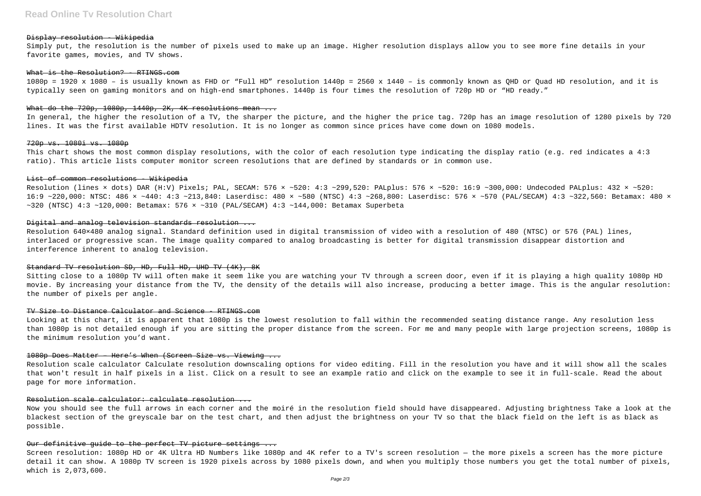#### Display resolution - Wikipedia

Simply put, the resolution is the number of pixels used to make up an image. Higher resolution displays allow you to see more fine details in your favorite games, movies, and TV shows.

#### What is the Resolution? - RTINGS.com

1080p = 1920 x 1080 – is usually known as FHD or "Full HD" resolution 1440p = 2560 x 1440 – is commonly known as QHD or Quad HD resolution, and it is typically seen on gaming monitors and on high-end smartphones. 1440p is four times the resolution of 720p HD or "HD ready."

#### What do the  $720p$ ,  $1080p$ ,  $1440p$ ,  $2K$ ,  $4K$  resolutions mean ...

Resolution (lines × dots) DAR (H:V) Pixels; PAL, SECAM: 576 × ~520: 4:3 ~299,520: PALplus: 576 × ~520: 16:9 ~300,000: Undecoded PALplus: 432 × ~520: 16:9 ~220,000: NTSC: 486 × ~440: 4:3 ~213,840: Laserdisc: 480 × ~580 (NTSC) 4:3 ~268,800: Laserdisc: 576 × ~570 (PAL/SECAM) 4:3 ~322,560: Betamax: 480 ×  $\sim$ 320 (NTSC) 4:3  $\sim$ 120,000: Betamax: 576 ×  $\sim$ 310 (PAL/SECAM) 4:3  $\sim$ 144,000: Betamax Superbeta

## Digital and analog television standards resolution ...

In general, the higher the resolution of a TV, the sharper the picture, and the higher the price tag. 720p has an image resolution of 1280 pixels by 720 lines. It was the first available HDTV resolution. It is no longer as common since prices have come down on 1080 models.

#### 720p vs. 1080i vs. 1080p

This chart shows the most common display resolutions, with the color of each resolution type indicating the display ratio (e.g. red indicates a 4:3 ratio). This article lists computer monitor screen resolutions that are defined by standards or in common use.

## List of common resolutions - Wikipedia

Resolution 640×480 analog signal. Standard definition used in digital transmission of video with a resolution of 480 (NTSC) or 576 (PAL) lines, interlaced or progressive scan. The image quality compared to analog broadcasting is better for digital transmission disappear distortion and interference inherent to analog television.

## Standard TV resolution SD, HD, Full HD, UHD TV (4K), 8K

Sitting close to a 1080p TV will often make it seem like you are watching your TV through a screen door, even if it is playing a high quality 1080p HD movie. By increasing your distance from the TV, the density of the details will also increase, producing a better image. This is the angular resolution: the number of pixels per angle.

### TV Size to Distance Calculator and Science - RTINGS.com

Looking at this chart, it is apparent that 1080p is the lowest resolution to fall within the recommended seating distance range. Any resolution less than 1080p is not detailed enough if you are sitting the proper distance from the screen. For me and many people with large projection screens, 1080p is the minimum resolution you'd want.

#### 1080p Does Matter – Here's When (Screen Size vs. Viewing ...

Resolution scale calculator Calculate resolution downscaling options for video editing. Fill in the resolution you have and it will show all the scales that won't result in half pixels in a list. Click on a result to see an example ratio and click on the example to see it in full-scale. Read the about page for more information.

## Resolution scale calculator: calculate resolution ...

Now you should see the full arrows in each corner and the moiré in the resolution field should have disappeared. Adjusting brightness Take a look at the blackest section of the greyscale bar on the test chart, and then adjust the brightness on your TV so that the black field on the left is as black as possible.

## Our definitive quide to the perfect TV picture settings ...

Screen resolution: 1080p HD or 4K Ultra HD Numbers like 1080p and 4K refer to a TV's screen resolution — the more pixels a screen has the more picture detail it can show. A 1080p TV screen is 1920 pixels across by 1080 pixels down, and when you multiply those numbers you get the total number of pixels, which is 2,073,600.